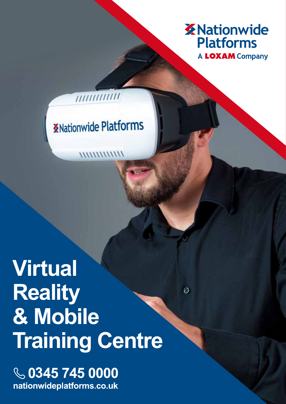

 $\odot$ 

# **KNationwide Platforms**

*WWWWWW* 

////////////

# **Virtual Reality & Mobile Training Centre**

**6** 0345 745 0000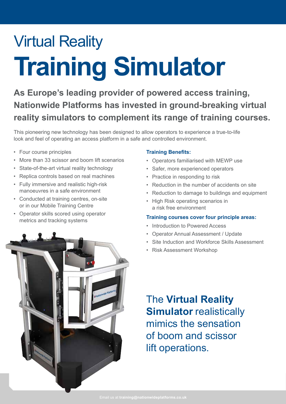# Virtual Reality **Training Simulator**

**As Europe's leading provider of powered access training, Nationwide Platforms has invested in ground-breaking virtual reality simulators to complement its range of training courses.** 

This pioneering new technology has been designed to allow operators to experience a true-to-life look and feel of operating an access platform in a safe and controlled environment.

- Four course principles
- More than 33 scissor and boom lift scenarios
- State-of-the-art virtual reality technology
- Replica controls based on real machines
- Fully immersive and realistic high-risk manoeuvres in a safe environment
- Conducted at training centres, on-site or in our Mobile Training Centre
- Operator skills scored using operator metrics and tracking systems

# **Training Benefits:**

- Operators familiarised with MEWP use
- Safer, more experienced operators
- Practice in responding to risk
- Reduction in the number of accidents on site
- Reduction to damage to buildings and equipment
- High Risk operating scenarios in a risk free environment

# **Training courses cover four principle areas:**

- Introduction to Powered Access
- Operator Annual Assessment / Update
- Site Induction and Workforce Skills Assessment
- Risk Assessment Workshop



The **Virtual Reality Simulator** realistically mimics the sensation of boom and scissor lift operations.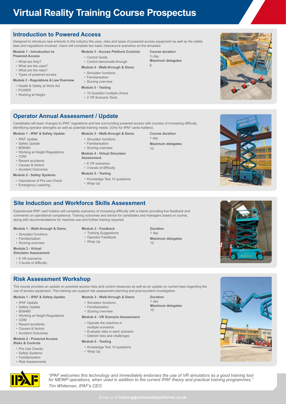# **Virtual Reality Training Course Prospectus**

# **Introduction to Powered Access**

Designed to introduce new entrants to the industry the uses, risks and types of powered access equipment as well as the safety laws and regulations involved. Users will complete two basic manoeuvre scenarios on the simulator.

## **Module 1 - Introduction to**

- **Powered Access**
- What are they?
- What are the uses? • What are the risks?
- Types of powered access

### **Module 2 - Regulations & Law Overview**

- Health & Safety at Work Act
- PUWER
- 
- 
- Working at Height
- **Module 3 Access Platform Controls** • Control Guide
- Control demo/walk-through **Module 4 - Walk-through & Demo**
- Simulator functions
- Familiarisation
- Scoring overview
- **Module 5 Testing**
- 10 Question multiple choice
- 2 VR Scenario Tests

**Course duration**  $\frac{1}{2}$  day **Maximum delegates** 6



# **Operator Annual Assessment / Update**

Candidates will learn changes to IPAF, regulations and law surrounding powered access with courses of increasing difficulty identifying operator strengths as well as potential training needs. (Only for IPAF cards holders).

#### **Module 1 - IPAF & Safety Update**

- IPAF Update
- Safety Update
- BS8460
- Working at Height Regulations
- CDM
- 
- Recent accidents • Causes & factors
- Accident Outcomes
- 

#### **Module 2 - Safety Systems** • Importance of Pre use Check

• Emergency Lowering

- **Module 3 Walk-through & Demo**
- Simulator functions
- Familiarisation • Scoring overview

#### **Module 4 - Virtual Simulator Assessment**

- 6 VR scenarios
- 3 levels of difficulty

#### **Module 5 - Testing**

- Knowledge Test 15 questions
- Wrap Up





# **Site Induction and Workforce Skills Assessment**

Experienced IPAF card holders will complete scenarios of increasing difficulty with a trainer providing live feedback and comments on operational competence. Training outcomes and advice for candidates and managers based on scores, along with recommendations for machine use and further training required.

> **Module 3 - Feedback** • Training Suggestions • Operator Feedback • Wrap Up

#### **Module 1 - Walk-through & Demo**

- Simulator functions
- Familiarisation
- Scoring overview

### **Module 2 - Virtual**

- **Simulator Assessment**
- 6 VR scenarios

# • 3 levels of difficulty

# **Risk Assessment Workshop**

The course provides an update on powered access risks and control measures as well as an update on current laws regarding the use of access equipment. This training can support risk assessment planning and post-accident investigation.

### **Module 1 - IPAF & Safety Update**

- IPAF Update
- Safety Update
- BS8460
- Working at Height Regulations
- CDM
- Recent accidents
- Causes & factors
- Accident Outcomes

#### **Module 2 - Powered Access Risks & Controls**

- Pre Use Checks
- Safety Systems
- Familiarisation
- Risk Assessments

## **Module 3 - Walk-through & Demo**

- Simulator functions
- Familiarisation
- Scoring overview

#### **Module 4 - VR Scenario Assessment**

- Operate the machine in
- multiple scenarios
- Evaluate risks in each scenario
- Debrief risks and challenges

#### **Module 5 - Testing**

- Knowledge Test 10 questions
- Wrap Up

**Duration** 1 day

**Maximum delegates**  $10$ 





*"IPAF welcomes this technology and immediately endorses the use of VR simulators as a good training tool for MEWP operations, when used in addition to the current IPAF theory and practical training programmes." Tim Whiteman, IPAF's CEO*

**Duration** 1 day **Maximum delegates** 10

**Course duration** 1 day **Maximum delegates** 10